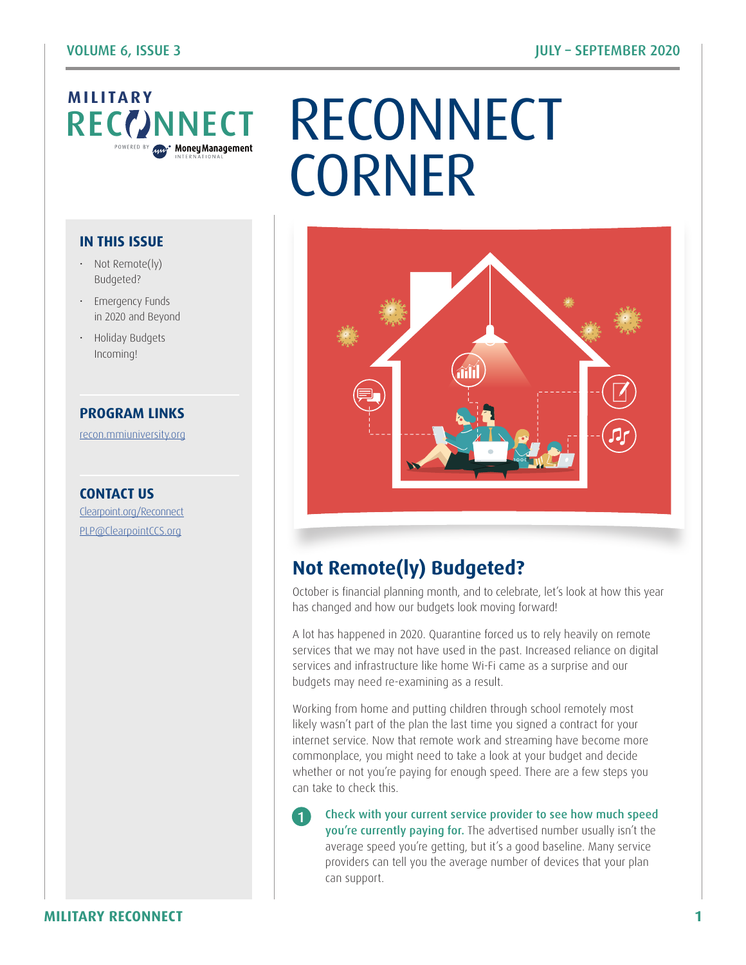# **MILITARY**<br>RECCINNECT

#### **IN THIS ISSUE**

- Not Remote(ly) Budgeted?
- Emergency Funds in 2020 and Beyond
- Holiday Budgets Incoming!

#### **PROGRAM LINKS**

[recon.mmiuniversity.org](https://recon.mmiuniversity.org/login/index.php)

**CONTACT US** C[learpoint.org/Reconnect](http://www.clearpoint.org/reconnect) PL[P@ClearpointCCS.org](mailto:plp%40clearpointccs.org?subject=)

## NNECT RECONNECT **CORNER**



### **Not Remote(ly) Budgeted?**

1

October is financial planning month, and to celebrate, let's look at how this year has changed and how our budgets look moving forward!

A lot has happened in 2020. Quarantine forced us to rely heavily on remote services that we may not have used in the past. Increased reliance on digital services and infrastructure like home Wi-Fi came as a surprise and our budgets may need re-examining as a result.

Working from home and putting children through school remotely most likely wasn't part of the plan the last time you signed a contract for your internet service. Now that remote work and streaming have become more commonplace, you might need to take a look at your budget and decide whether or not you're paying for enough speed. There are a few steps you can take to check this.

Check with your current service provider to see how much speed you're currently paying for. The advertised number usually isn't the average speed you're getting, but it's a good baseline. Many service providers can tell you the average number of devices that your plan can support.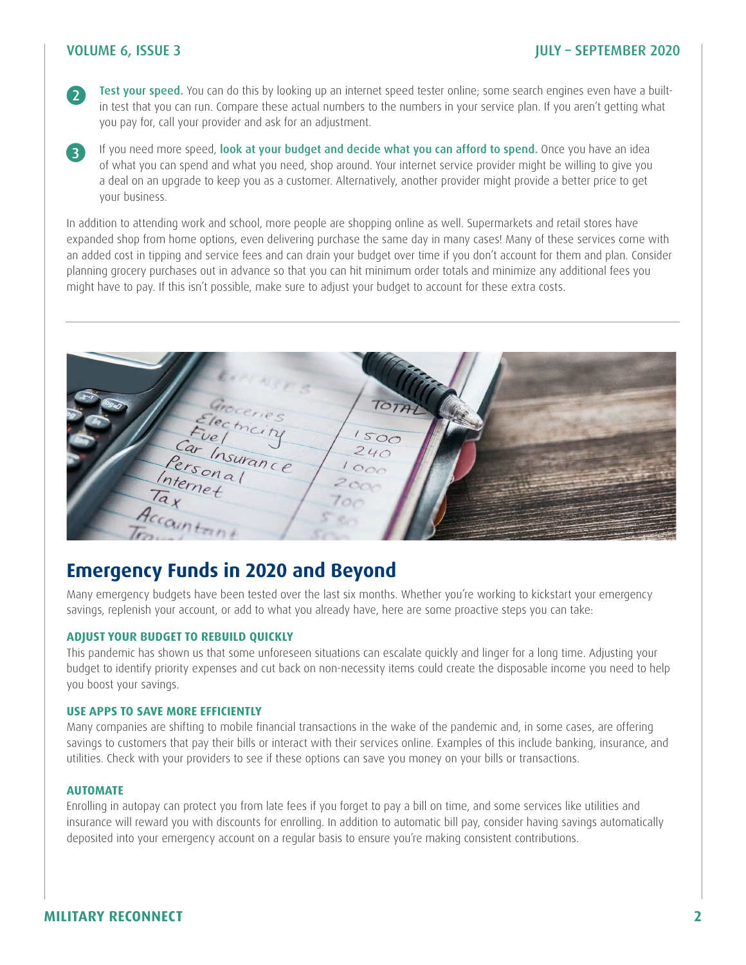#### VOLUME 6, ISSUE 3 JULY – SEPTEMBER 2020

2

3

Test your speed. You can do this by looking up an internet speed tester online; some search engines even have a builtin test that you can run. Compare these actual numbers to the numbers in your service plan. If you aren't getting what you pay for, call your provider and ask for an adjustment.

If you need more speed, look at your budget and decide what you can afford to spend. Once you have an idea of what you can spend and what you need, shop around. Your internet service provider might be willing to give you a deal on an upgrade to keep you as a customer. Alternatively, another provider might provide a better price to get your business.

In addition to attending work and school, more people are shopping online as well. Supermarkets and retail stores have expanded shop from home options, even delivering purchase the same day in many cases! Many of these services come with an added cost in tipping and service fees and can drain your budget over time if you don't account for them and plan. Consider planning grocery purchases out in advance so that you can hit minimum order totals and minimize any additional fees you might have to pay. If this isn't possible, make sure to adjust your budget to account for these extra costs.

 $500$ ccount

#### **Emergency Funds in 2020 and Beyond**

Many emergency budgets have been tested over the last six months. Whether you're working to kickstart your emergency savings, replenish your account, or add to what you already have, here are some proactive steps you can take:

#### **ADJUST YOUR BUDGET TO REBUILD QUICKLY**

This pandemic has shown us that some unforeseen situations can escalate quickly and linger for a long time. Adjusting your budget to identify priority expenses and cut back on non-necessity items could create the disposable income you need to help you boost your savings.

#### **USE APPS TO SAVE MORE EFFICIENTLY**

Many companies are shifting to mobile financial transactions in the wake of the pandemic and, in some cases, are offering savings to customers that pay their bills or interact with their services online. Examples of this include banking, insurance, and utilities. Check with your providers to see if these options can save you money on your bills or transactions.

#### **AUTOMATE**

Enrolling in autopay can protect you from late fees if you forget to pay a bill on time, and some services like utilities and insurance will reward you with discounts for enrolling. In addition to automatic bill pay, consider having savings automatically deposited into your emergency account on a regular basis to ensure you're making consistent contributions.